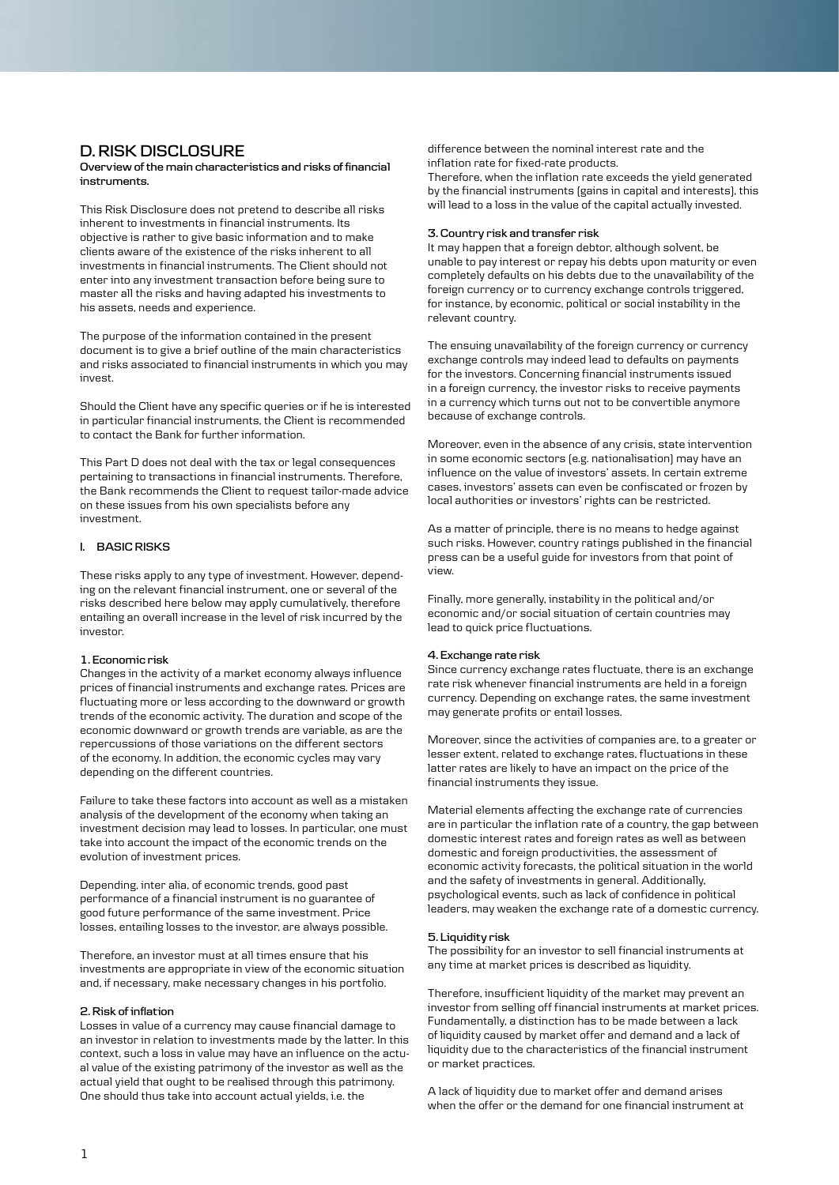# **D. RISK DISCLOSURE**

**Overview of the main characteristics and risks of financial instruments.**

This Risk Disclosure does not pretend to describe all risks inherent to investments in financial instruments. Its objective is rather to give basic information and to make clients aware of the existence of the risks inherent to all investments in financial instruments. The Client should not enter into any investment transaction before being sure to master all the risks and having adapted his investments to his assets, needs and experience.

The purpose of the information contained in the present document is to give a brief outline of the main characteristics and risks associated to financial instruments in which you may invest.

Should the Client have any specific queries or if he is interested in particular financial instruments, the Client is recommended to contact the Bank for further information.

This Part D does not deal with the tax or legal consequences pertaining to transactions in financial instruments. Therefore, the Bank recommends the Client to request tailor-made advice on these issues from his own specialists before any investment.

# **I. BASIC RISKS**

These risks apply to any type of investment. However, depending on the relevant financial instrument, one or several of the risks described here below may apply cumulatively, therefore entailing an overall increase in the level of risk incurred by the investor.

## **1. Economic risk**

Changes in the activity of a market economy always influence prices of financial instruments and exchange rates. Prices are fluctuating more or less according to the downward or growth trends of the economic activity. The duration and scope of the economic downward or growth trends are variable, as are the repercussions of those variations on the different sectors of the economy. In addition, the economic cycles may vary depending on the different countries.

Failure to take these factors into account as well as a mistaken analysis of the development of the economy when taking an investment decision may lead to losses. In particular, one must take into account the impact of the economic trends on the evolution of investment prices.

Depending, inter alia, of economic trends, good past performance of a financial instrument is no guarantee of good future performance of the same investment. Price losses, entailing losses to the investor, are always possible.

Therefore, an investor must at all times ensure that his investments are appropriate in view of the economic situation and, if necessary, make necessary changes in his portfolio.

# **2. Risk of inflation**

Losses in value of a currency may cause financial damage to an investor in relation to investments made by the latter. In this context, such a loss in value may have an influence on the actual value of the existing patrimony of the investor as well as the actual yield that ought to be realised through this patrimony. One should thus take into account actual yields, i.e. the

difference between the nominal interest rate and the inflation rate for fixed-rate products.

Therefore, when the inflation rate exceeds the yield generated by the financial instruments (gains in capital and interests), this will lead to a loss in the value of the capital actually invested.

### **3. Country risk and transfer risk**

It may happen that a foreign debtor, although solvent, be unable to pay interest or repay his debts upon maturity or even completely defaults on his debts due to the unavailability of the foreign currency or to currency exchange controls triggered, for instance, by economic, political or social instability in the relevant country.

The ensuing unavailability of the foreign currency or currency exchange controls may indeed lead to defaults on payments for the investors. Concerning financial instruments issued in a foreign currency, the investor risks to receive payments in a currency which turns out not to be convertible anymore because of exchange controls.

Moreover, even in the absence of any crisis, state intervention in some economic sectors (e.g. nationalisation) may have an influence on the value of investors' assets. In certain extreme cases, investors' assets can even be confiscated or frozen by local authorities or investors' rights can be restricted.

As a matter of principle, there is no means to hedge against such risks. However, country ratings published in the financial press can be a useful guide for investors from that point of view.

Finally, more generally, instability in the political and/or economic and/or social situation of certain countries may lead to quick price fluctuations.

#### **4. Exchange rate risk**

Since currency exchange rates fluctuate, there is an exchange rate risk whenever financial instruments are held in a foreign currency. Depending on exchange rates, the same investment may generate profits or entail losses.

Moreover, since the activities of companies are, to a greater or lesser extent, related to exchange rates, fluctuations in these latter rates are likely to have an impact on the price of the financial instruments they issue.

Material elements affecting the exchange rate of currencies are in particular the inflation rate of a country, the gap between domestic interest rates and foreign rates as well as between domestic and foreign productivities, the assessment of economic activity forecasts, the political situation in the world and the safety of investments in general. Additionally, psychological events, such as lack of confidence in political leaders, may weaken the exchange rate of a domestic currency.

## **5. Liquidity risk**

The possibility for an investor to sell financial instruments at any time at market prices is described as liquidity.

Therefore, insufficient liquidity of the market may prevent an investor from selling off financial instruments at market prices. Fundamentally, a distinction has to be made between a lack of liquidity caused by market offer and demand and a lack of liquidity due to the characteristics of the financial instrument or market practices.

A lack of liquidity due to market offer and demand arises when the offer or the demand for one financial instrument at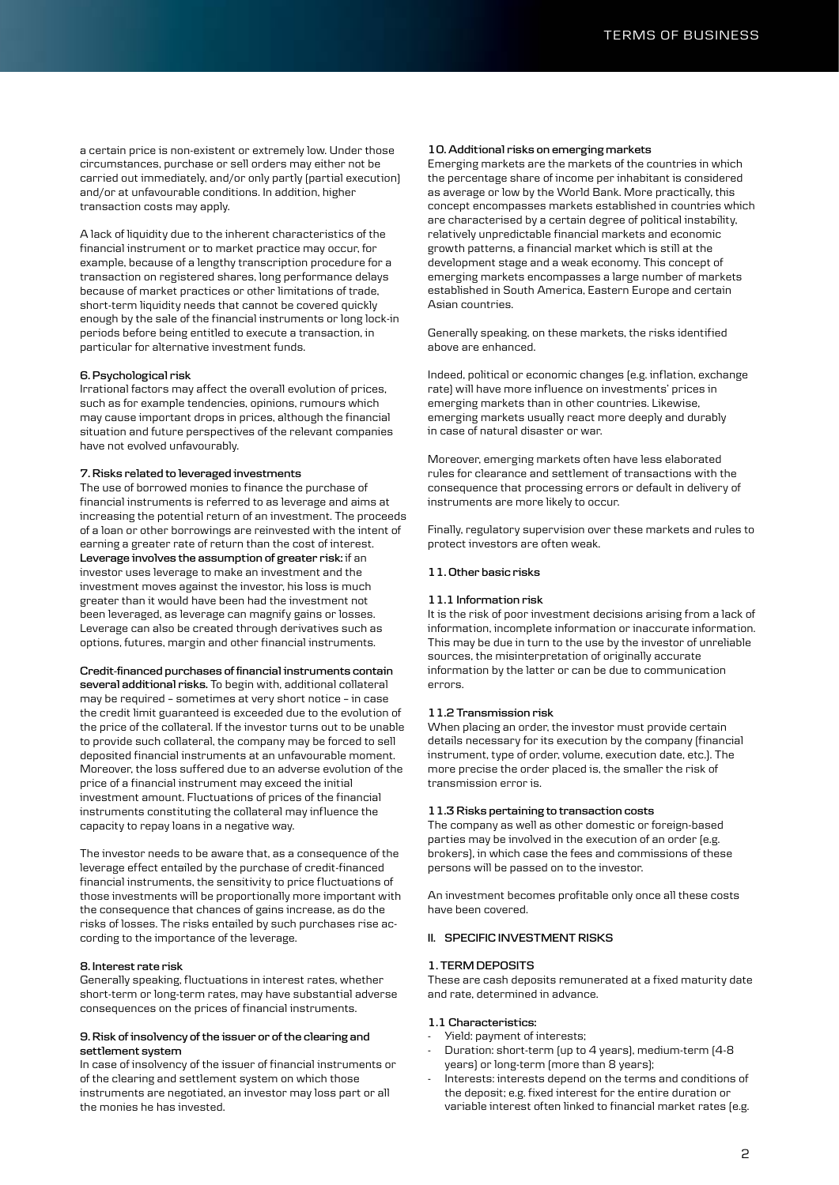a certain price is non-existent or extremely low. Under those circumstances, purchase or sell orders may either not be carried out immediately, and/or only partly (partial execution) and/or at unfavourable conditions. In addition, higher transaction costs may apply.

A lack of liquidity due to the inherent characteristics of the financial instrument or to market practice may occur, for example, because of a lengthy transcription procedure for a transaction on registered shares, long performance delays because of market practices or other limitations of trade, short-term liquidity needs that cannot be covered quickly enough by the sale of the financial instruments or long lock-in periods before being entitled to execute a transaction, in particular for alternative investment funds.

#### **6. Psychological risk**

Irrational factors may affect the overall evolution of prices, such as for example tendencies, opinions, rumours which may cause important drops in prices, although the financial situation and future perspectives of the relevant companies have not evolved unfavourably.

#### **7. Risks related to leveraged investments**

The use of borrowed monies to finance the purchase of financial instruments is referred to as leverage and aims at increasing the potential return of an investment. The proceeds of a loan or other borrowings are reinvested with the intent of earning a greater rate of return than the cost of interest. **Leverage involves the assumption of greater risk:** if an investor uses leverage to make an investment and the investment moves against the investor, his loss is much greater than it would have been had the investment not been leveraged, as leverage can magnify gains or losses. Leverage can also be created through derivatives such as options, futures, margin and other financial instruments.

# **Credit-financed purchases of financial instruments contain**

**several additional risks.** To begin with, additional collateral may be required – sometimes at very short notice – in case the credit limit guaranteed is exceeded due to the evolution of the price of the collateral. If the investor turns out to be unable to provide such collateral, the company may be forced to sell deposited financial instruments at an unfavourable moment. Moreover, the loss suffered due to an adverse evolution of the price of a financial instrument may exceed the initial investment amount. Fluctuations of prices of the financial instruments constituting the collateral may influence the capacity to repay loans in a negative way.

The investor needs to be aware that, as a consequence of the leverage effect entailed by the purchase of credit-financed financial instruments, the sensitivity to price fluctuations of those investments will be proportionally more important with the consequence that chances of gains increase, as do the risks of losses. The risks entailed by such purchases rise according to the importance of the leverage.

#### **8. Interest rate risk**

Generally speaking, fluctuations in interest rates, whether short-term or long-term rates, may have substantial adverse consequences on the prices of financial instruments.

### **9. Risk of insolvency of the issuer or of the clearing and settlement system**

In case of insolvency of the issuer of financial instruments or of the clearing and settlement system on which those instruments are negotiated, an investor may loss part or all the monies he has invested.

#### **10. Additional risks on emerging markets**

Emerging markets are the markets of the countries in which the percentage share of income per inhabitant is considered as average or low by the World Bank. More practically, this concept encompasses markets established in countries which are characterised by a certain degree of political instability, relatively unpredictable financial markets and economic growth patterns, a financial market which is still at the development stage and a weak economy. This concept of emerging markets encompasses a large number of markets established in South America, Eastern Europe and certain Asian countries.

Generally speaking, on these markets, the risks identified above are enhanced.

Indeed, political or economic changes (e.g. inflation, exchange rate) will have more influence on investments' prices in emerging markets than in other countries. Likewise, emerging markets usually react more deeply and durably in case of natural disaster or war.

Moreover, emerging markets often have less elaborated rules for clearance and settlement of transactions with the consequence that processing errors or default in delivery of instruments are more likely to occur.

Finally, regulatory supervision over these markets and rules to protect investors are often weak.

## **11. Other basic risks**

## **11.1 Information risk**

It is the risk of poor investment decisions arising from a lack of information, incomplete information or inaccurate information. This may be due in turn to the use by the investor of unreliable sources, the misinterpretation of originally accurate information by the latter or can be due to communication errors.

## **11.2 Transmission risk**

When placing an order, the investor must provide certain details necessary for its execution by the company (financial instrument, type of order, volume, execution date, etc.). The more precise the order placed is, the smaller the risk of transmission error is.

## **11.3 Risks pertaining to transaction costs**

The company as well as other domestic or foreign-based parties may be involved in the execution of an order (e.g. brokers), in which case the fees and commissions of these persons will be passed on to the investor.

An investment becomes profitable only once all these costs have been covered.

# **II. SPECIFIC INVESTMENT RISKS**

# **1. TERM DEPOSITS**

These are cash deposits remunerated at a fixed maturity date and rate, determined in advance.

# **1.1 Characteristics:**

- Yield: payment of interests;
- Duration: short-term (up to 4 years), medium-term (4-8 years) or long-term (more than 8 years);
- Interests: interests depend on the terms and conditions of the deposit; e.g. fixed interest for the entire duration or variable interest often linked to financial market rates (e.g.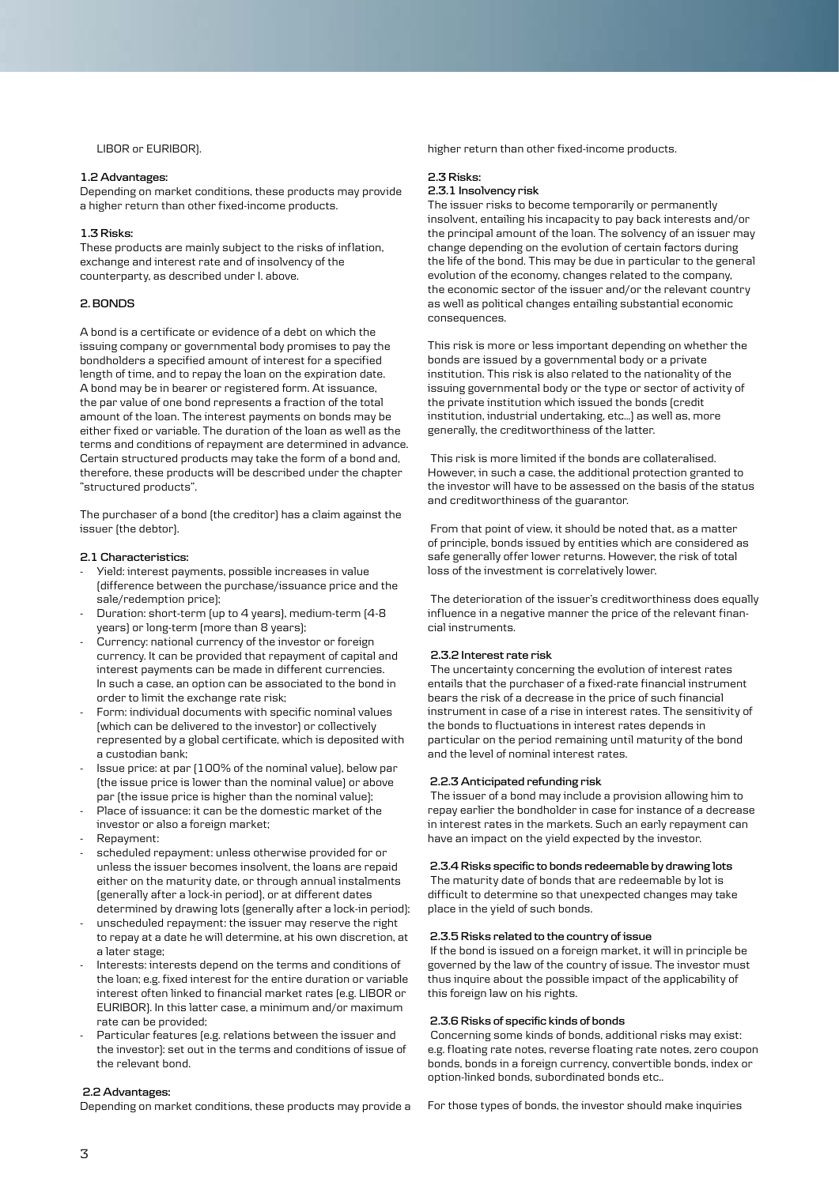LIBOR or EURIBOR).

# **1.2 Advantages:**

Depending on market conditions, these products may provide a higher return than other fixed-income products.

#### **1.3 Risks:**

These products are mainly subject to the risks of inflation, exchange and interest rate and of insolvency of the counterparty, as described under I. above.

# **2. BONDS**

A bond is a certificate or evidence of a debt on which the issuing company or governmental body promises to pay the bondholders a specified amount of interest for a specified length of time, and to repay the loan on the expiration date. A bond may be in bearer or registered form. At issuance, the par value of one bond represents a fraction of the total amount of the loan. The interest payments on bonds may be either fixed or variable. The duration of the loan as well as the terms and conditions of repayment are determined in advance. Certain structured products may take the form of a bond and, therefore, these products will be described under the chapter "structured products".

The purchaser of a bond (the creditor) has a claim against the issuer (the debtor).

#### **2.1 Characteristics:**

- Yield: interest payments, possible increases in value (difference between the purchase/issuance price and the sale/redemption price);
- Duration: short-term (up to 4 years), medium-term (4-8 years) or long-term (more than 8 years);
- Currency: national currency of the investor or foreign currency. It can be provided that repayment of capital and interest payments can be made in different currencies. In such a case, an option can be associated to the bond in order to limit the exchange rate risk;
- Form: individual documents with specific nominal values (which can be delivered to the investor) or collectively represented by a global certificate, which is deposited with a custodian bank;
- Issue price: at par (100% of the nominal value), below par (the issue price is lower than the nominal value) or above par (the issue price is higher than the nominal value);
- Place of issuance: it can be the domestic market of the investor or also a foreign market;
- Repayment:
- scheduled repayment: unless otherwise provided for or unless the issuer becomes insolvent, the loans are repaid either on the maturity date, or through annual instalments (generally after a lock-in period), or at different dates determined by drawing lots (generally after a lock-in period);
- unscheduled repayment: the issuer may reserve the right to repay at a date he will determine, at his own discretion, at a later stage;
- Interests: interests depend on the terms and conditions of the loan; e.g. fixed interest for the entire duration or variable interest often linked to financial market rates (e.g. LIBOR or EURIBOR). In this latter case, a minimum and/or maximum rate can be provided;
- Particular features (e.g. relations between the issuer and the investor): set out in the terms and conditions of issue of the relevant bond.

#### **2.2 Advantages:**

Depending on market conditions, these products may provide a

higher return than other fixed-income products.

# **2.3 Risks:**

# **2.3.1 Insolvency risk**

The issuer risks to become temporarily or permanently insolvent, entailing his incapacity to pay back interests and/or the principal amount of the loan. The solvency of an issuer may change depending on the evolution of certain factors during the life of the bond. This may be due in particular to the general evolution of the economy, changes related to the company, the economic sector of the issuer and/or the relevant country as well as political changes entailing substantial economic consequences.

This risk is more or less important depending on whether the bonds are issued by a governmental body or a private institution. This risk is also related to the nationality of the issuing governmental body or the type or sector of activity of the private institution which issued the bonds (credit institution, industrial undertaking, etc…) as well as, more generally, the creditworthiness of the latter.

 This risk is more limited if the bonds are collateralised. However, in such a case, the additional protection granted to the investor will have to be assessed on the basis of the status and creditworthiness of the guarantor.

 From that point of view, it should be noted that, as a matter of principle, bonds issued by entities which are considered as safe generally offer lower returns. However, the risk of total loss of the investment is correlatively lower.

 The deterioration of the issuer's creditworthiness does equally influence in a negative manner the price of the relevant financial instruments.

## **2.3.2 Interest rate risk**

 The uncertainty concerning the evolution of interest rates entails that the purchaser of a fixed-rate financial instrument bears the risk of a decrease in the price of such financial instrument in case of a rise in interest rates. The sensitivity of the bonds to fluctuations in interest rates depends in particular on the period remaining until maturity of the bond and the level of nominal interest rates.

## **2.2.3 Anticipated refunding risk**

 The issuer of a bond may include a provision allowing him to repay earlier the bondholder in case for instance of a decrease in interest rates in the markets. Such an early repayment can have an impact on the yield expected by the investor.

## **2.3.4 Risks specific to bonds redeemable by drawing lots**

 The maturity date of bonds that are redeemable by lot is difficult to determine so that unexpected changes may take place in the yield of such bonds.

## **2.3.5 Risks related to the country of issue**

 If the bond is issued on a foreign market, it will in principle be governed by the law of the country of issue. The investor must thus inquire about the possible impact of the applicability of this foreign law on his rights.

## **2.3.6 Risks of specific kinds of bonds**

 Concerning some kinds of bonds, additional risks may exist: e.g. floating rate notes, reverse floating rate notes, zero coupon bonds, bonds in a foreign currency, convertible bonds, index or option-linked bonds, subordinated bonds etc..

For those types of bonds, the investor should make inquiries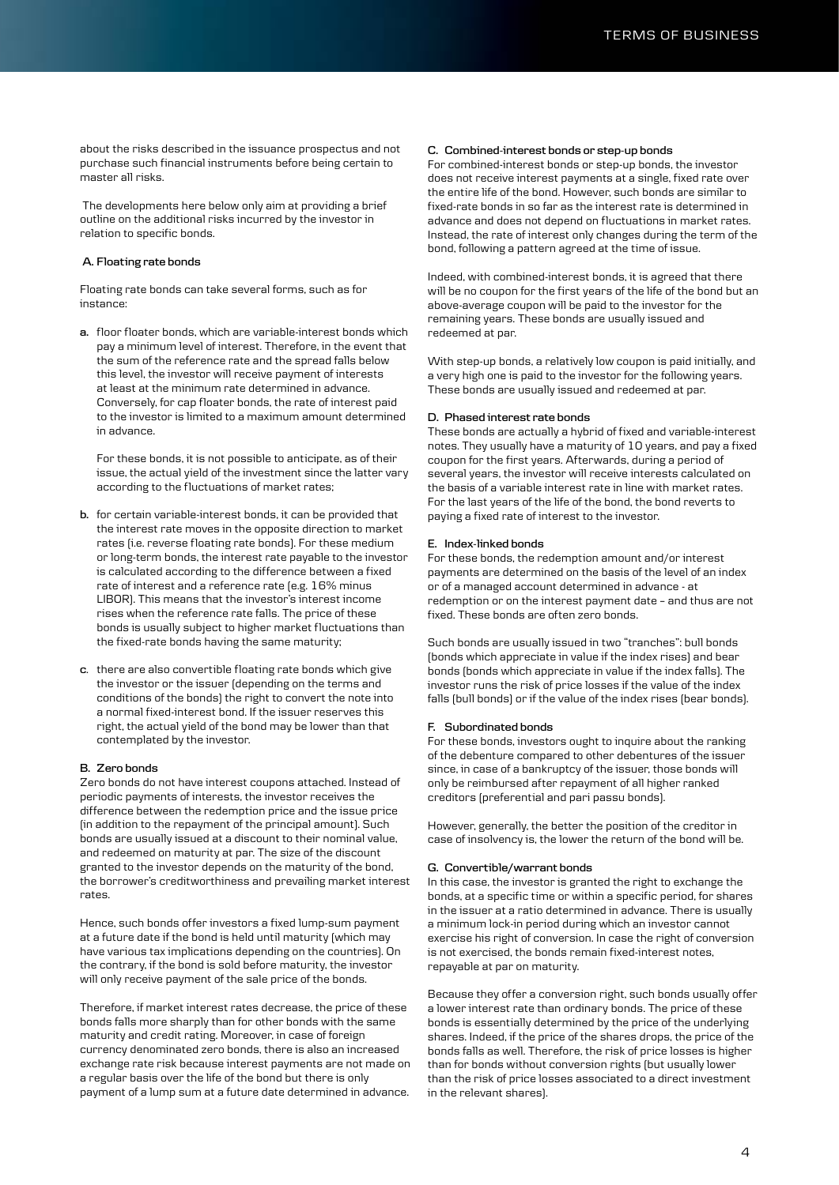about the risks described in the issuance prospectus and not purchase such financial instruments before being certain to master all risks.

 The developments here below only aim at providing a brief outline on the additional risks incurred by the investor in relation to specific bonds.

# **A. Floating rate bonds**

Floating rate bonds can take several forms, such as for instance:

**a.** floor floater bonds, which are variable-interest bonds which pay a minimum level of interest. Therefore, in the event that the sum of the reference rate and the spread falls below this level, the investor will receive payment of interests at least at the minimum rate determined in advance. Conversely, for cap floater bonds, the rate of interest paid to the investor is limited to a maximum amount determined in advance.

For these bonds, it is not possible to anticipate, as of their issue, the actual yield of the investment since the latter vary according to the fluctuations of market rates;

- **b.** for certain variable-interest bonds, it can be provided that the interest rate moves in the opposite direction to market rates (i.e. reverse floating rate bonds). For these medium or long-term bonds, the interest rate payable to the investor is calculated according to the difference between a fixed rate of interest and a reference rate (e.g. 16% minus LIBOR). This means that the investor's interest income rises when the reference rate falls. The price of these bonds is usually subject to higher market fluctuations than the fixed-rate bonds having the same maturity;
- **c**. there are also convertible floating rate bonds which give the investor or the issuer (depending on the terms and conditions of the bonds) the right to convert the note into a normal fixed-interest bond. If the issuer reserves this right, the actual yield of the bond may be lower than that contemplated by the investor.

#### **B. Zero bonds**

Zero bonds do not have interest coupons attached. Instead of periodic payments of interests, the investor receives the difference between the redemption price and the issue price (in addition to the repayment of the principal amount). Such bonds are usually issued at a discount to their nominal value, and redeemed on maturity at par. The size of the discount granted to the investor depends on the maturity of the bond, the borrower's creditworthiness and prevailing market interest rates.

Hence, such bonds offer investors a fixed lump-sum payment at a future date if the bond is held until maturity (which may have various tax implications depending on the countries). On the contrary, if the bond is sold before maturity, the investor will only receive payment of the sale price of the bonds.

Therefore, if market interest rates decrease, the price of these bonds falls more sharply than for other bonds with the same maturity and credit rating. Moreover, in case of foreign currency denominated zero bonds, there is also an increased exchange rate risk because interest payments are not made on a regular basis over the life of the bond but there is only payment of a lump sum at a future date determined in advance.

## **C. Combined-interest bonds or step-up bonds**

For combined-interest bonds or step-up bonds, the investor does not receive interest payments at a single, fixed rate over the entire life of the bond. However, such bonds are similar to fixed-rate bonds in so far as the interest rate is determined in advance and does not depend on fluctuations in market rates. Instead, the rate of interest only changes during the term of the bond, following a pattern agreed at the time of issue.

Indeed, with combined-interest bonds, it is agreed that there will be no coupon for the first years of the life of the bond but an above-average coupon will be paid to the investor for the remaining years. These bonds are usually issued and redeemed at par.

With step-up bonds, a relatively low coupon is paid initially, and a very high one is paid to the investor for the following years. These bonds are usually issued and redeemed at par.

#### **D. Phased interest rate bonds**

These bonds are actually a hybrid of fixed and variable-interest notes. They usually have a maturity of 10 years, and pay a fixed coupon for the first years. Afterwards, during a period of several years, the investor will receive interests calculated on the basis of a variable interest rate in line with market rates. For the last years of the life of the bond, the bond reverts to paying a fixed rate of interest to the investor.

## **E. Index-linked bonds**

For these bonds, the redemption amount and/or interest payments are determined on the basis of the level of an index or of a managed account determined in advance - at redemption or on the interest payment date – and thus are not fixed. These bonds are often zero bonds.

Such bonds are usually issued in two "tranches": bull bonds (bonds which appreciate in value if the index rises) and bear bonds (bonds which appreciate in value if the index falls). The investor runs the risk of price losses if the value of the index falls (bull bonds) or if the value of the index rises (bear bonds).

#### **F. Subordinated bonds**

For these bonds, investors ought to inquire about the ranking of the debenture compared to other debentures of the issuer since, in case of a bankruptcy of the issuer, those bonds will only be reimbursed after repayment of all higher ranked creditors (preferential and pari passu bonds).

However, generally, the better the position of the creditor in case of insolvency is, the lower the return of the bond will be.

### **G. Convertible/warrant bonds**

In this case, the investor is granted the right to exchange the bonds, at a specific time or within a specific period, for shares in the issuer at a ratio determined in advance. There is usually a minimum lock-in period during which an investor cannot exercise his right of conversion. In case the right of conversion is not exercised, the bonds remain fixed-interest notes, repayable at par on maturity.

Because they offer a conversion right, such bonds usually offer a lower interest rate than ordinary bonds. The price of these bonds is essentially determined by the price of the underlying shares. Indeed, if the price of the shares drops, the price of the bonds falls as well. Therefore, the risk of price losses is higher than for bonds without conversion rights (but usually lower than the risk of price losses associated to a direct investment in the relevant shares).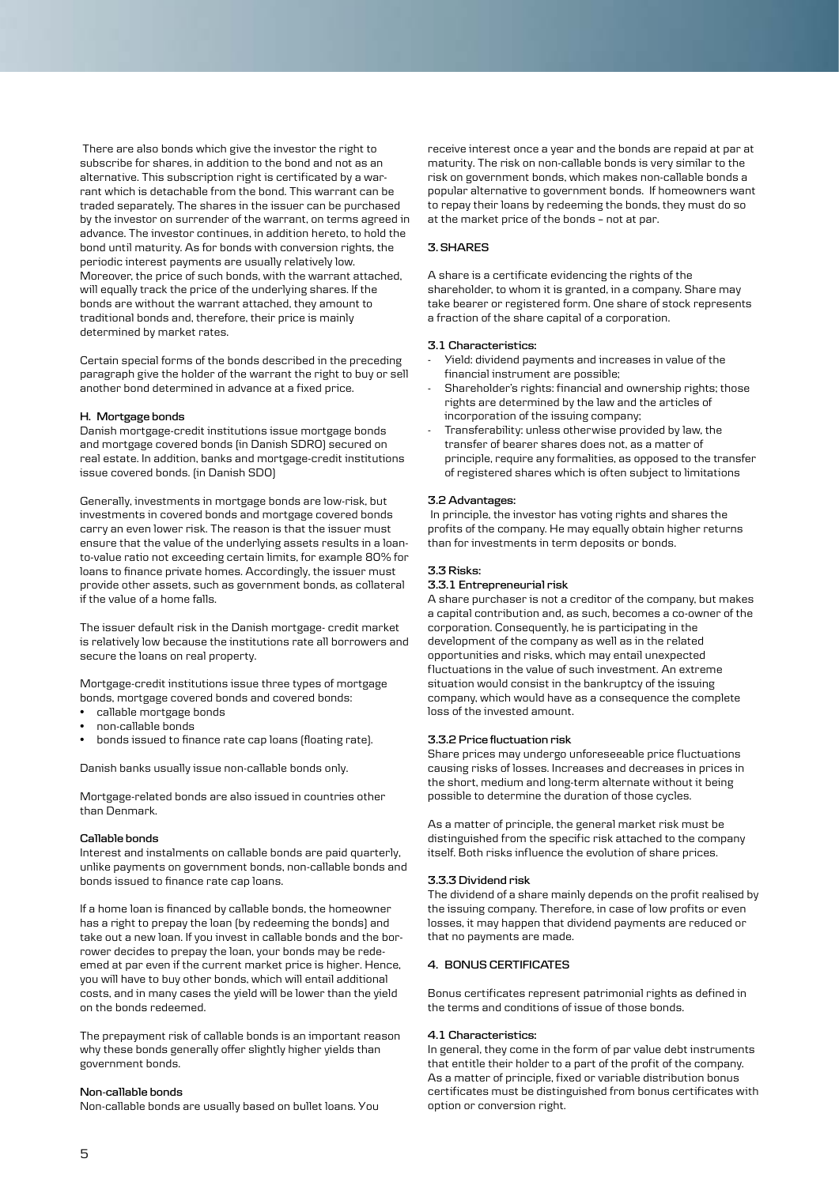There are also bonds which give the investor the right to subscribe for shares, in addition to the bond and not as an alternative. This subscription right is certificated by a warrant which is detachable from the bond. This warrant can be traded separately. The shares in the issuer can be purchased by the investor on surrender of the warrant, on terms agreed in advance. The investor continues, in addition hereto, to hold the bond until maturity. As for bonds with conversion rights, the periodic interest payments are usually relatively low. Moreover, the price of such bonds, with the warrant attached, will equally track the price of the underlying shares. If the bonds are without the warrant attached, they amount to traditional bonds and, therefore, their price is mainly determined by market rates.

Certain special forms of the bonds described in the preceding paragraph give the holder of the warrant the right to buy or sell another bond determined in advance at a fixed price.

### **H. Mortgage bonds**

Danish mortgage-credit institutions issue mortgage bonds and mortgage covered bonds (in Danish SDRO) secured on real estate. In addition, banks and mortgage-credit institutions issue covered bonds. (in Danish SDO)

Generally, investments in mortgage bonds are low-risk, but investments in covered bonds and mortgage covered bonds carry an even lower risk. The reason is that the issuer must ensure that the value of the underlying assets results in a loanto-value ratio not exceeding certain limits, for example 80% for loans to finance private homes. Accordingly, the issuer must provide other assets, such as government bonds, as collateral if the value of a home falls.

The issuer default risk in the Danish mortgage- credit market is relatively low because the institutions rate all borrowers and secure the loans on real property.

Mortgage-credit institutions issue three types of mortgage bonds, mortgage covered bonds and covered bonds:

- callable mortgage bonds
- non-callable bonds
- bonds issued to finance rate cap loans (floating rate).

Danish banks usually issue non-callable bonds only.

Mortgage-related bonds are also issued in countries other than Denmark.

## **Callable bonds**

Interest and instalments on callable bonds are paid quarterly, unlike payments on government bonds, non-callable bonds and bonds issued to finance rate cap loans.

If a home loan is financed by callable bonds, the homeowner has a right to prepay the loan (by redeeming the bonds) and take out a new loan. If you invest in callable bonds and the borrower decides to prepay the loan, your bonds may be redeemed at par even if the current market price is higher. Hence, you will have to buy other bonds, which will entail additional costs, and in many cases the yield will be lower than the yield on the bonds redeemed.

The prepayment risk of callable bonds is an important reason why these bonds generally offer slightly higher yields than government bonds.

## **Non-callable bonds**

Non-callable bonds are usually based on bullet loans. You

receive interest once a year and the bonds are repaid at par at maturity. The risk on non-callable bonds is very similar to the risk on government bonds, which makes non-callable bonds a popular alternative to government bonds. If homeowners want to repay their loans by redeeming the bonds, they must do so at the market price of the bonds – not at par.

## **3. SHARES**

A share is a certificate evidencing the rights of the shareholder, to whom it is granted, in a company. Share may take bearer or registered form. One share of stock represents a fraction of the share capital of a corporation.

#### **3.1 Characteristics:**

- Yield: dividend payments and increases in value of the financial instrument are possible;
- Shareholder's rights: financial and ownership rights; those rights are determined by the law and the articles of incorporation of the issuing company;
- Transferability: unless otherwise provided by law, the transfer of bearer shares does not, as a matter of principle, require any formalities, as opposed to the transfer of registered shares which is often subject to limitations

## **3.2 Advantages:**

 In principle, the investor has voting rights and shares the profits of the company. He may equally obtain higher returns than for investments in term deposits or bonds.

### **3.3 Risks:**

### **3.3.1 Entrepreneurial risk**

A share purchaser is not a creditor of the company, but makes a capital contribution and, as such, becomes a co-owner of the corporation. Consequently, he is participating in the development of the company as well as in the related opportunities and risks, which may entail unexpected fluctuations in the value of such investment. An extreme situation would consist in the bankruptcy of the issuing company, which would have as a consequence the complete loss of the invested amount.

## **3.3.2 Price fluctuation risk**

Share prices may undergo unforeseeable price fluctuations causing risks of losses. Increases and decreases in prices in the short, medium and long-term alternate without it being possible to determine the duration of those cycles.

As a matter of principle, the general market risk must be distinguished from the specific risk attached to the company itself. Both risks influence the evolution of share prices.

#### **3.3.3 Dividend risk**

The dividend of a share mainly depends on the profit realised by the issuing company. Therefore, in case of low profits or even losses, it may happen that dividend payments are reduced or that no payments are made.

## **4. BONUS CERTIFICATES**

Bonus certificates represent patrimonial rights as defined in the terms and conditions of issue of those bonds.

#### **4.1 Characteristics:**

In general, they come in the form of par value debt instruments that entitle their holder to a part of the profit of the company. As a matter of principle, fixed or variable distribution bonus certificates must be distinguished from bonus certificates with option or conversion right.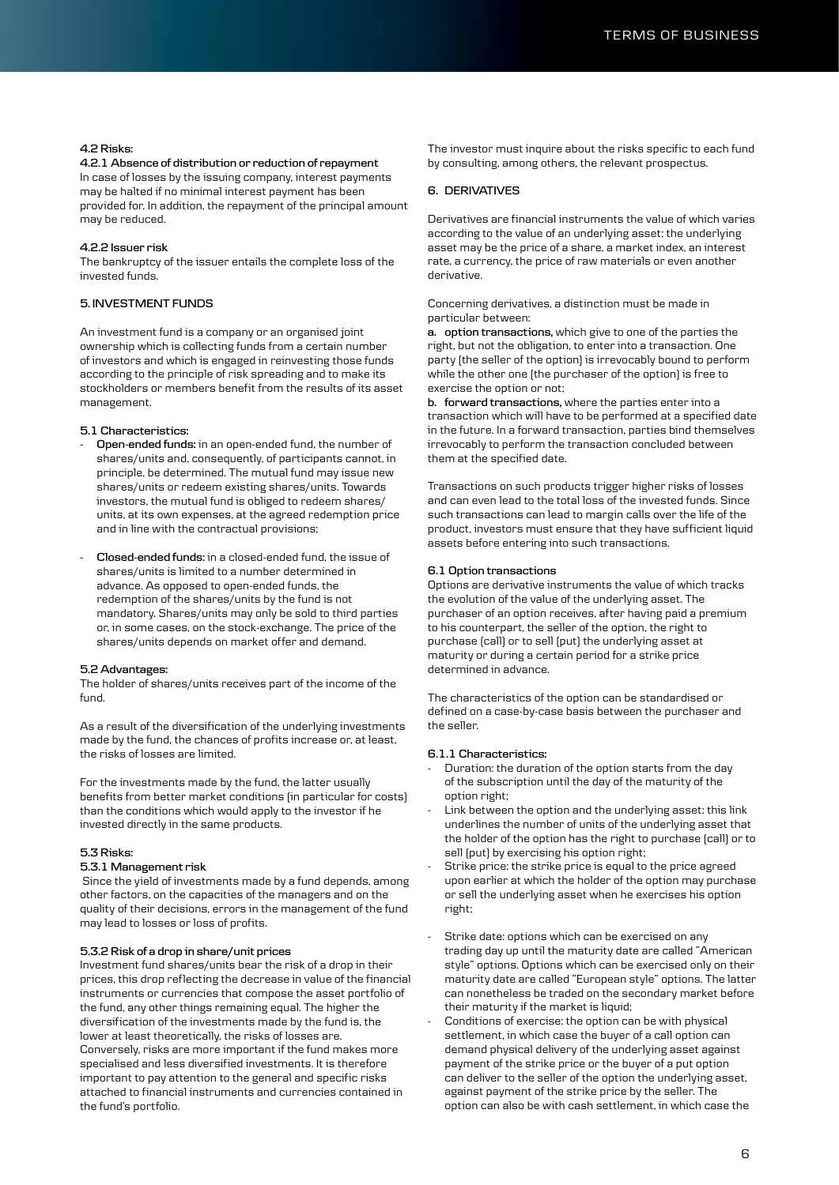# **4.2 Risks:**

**4.2.1 Absence of distribution or reduction of repayment**

In case of losses by the issuing company, interest payments may be halted if no minimal interest payment has been provided for. In addition, the repayment of the principal amount may be reduced.

## **4.2.2 Issuer risk**

The bankruptcy of the issuer entails the complete loss of the invested funds.

# **5. INVESTMENT FUNDS**

An investment fund is a company or an organised joint ownership which is collecting funds from a certain number of investors and which is engaged in reinvesting those funds according to the principle of risk spreading and to make its stockholders or members benefit from the results of its asset management.

## **5.1 Characteristics:**

- **- Open-ended funds:** in an open-ended fund, the number of shares/units and, consequently, of participants cannot, in principle, be determined. The mutual fund may issue new shares/units or redeem existing shares/units. Towards investors, the mutual fund is obliged to redeem shares/ units, at its own expenses, at the agreed redemption price and in line with the contractual provisions;
- **- Closed-ended funds:** in a closed-ended fund, the issue of shares/units is limited to a number determined in advance. As opposed to open-ended funds, the redemption of the shares/units by the fund is not mandatory. Shares/units may only be sold to third parties or, in some cases, on the stock-exchange. The price of the shares/units depends on market offer and demand.

#### **5.2 Advantages:**

The holder of shares/units receives part of the income of the fund.

As a result of the diversification of the underlying investments made by the fund, the chances of profits increase or, at least, the risks of losses are limited.

For the investments made by the fund, the latter usually benefits from better market conditions (in particular for costs) than the conditions which would apply to the investor if he invested directly in the same products.

## **5.3 Risks:**

## **5.3.1 Management risk**

 Since the yield of investments made by a fund depends, among other factors, on the capacities of the managers and on the quality of their decisions, errors in the management of the fund may lead to losses or loss of profits.

### **5.3.2 Risk of a drop in share/unit prices**

Investment fund shares/units bear the risk of a drop in their prices, this drop reflecting the decrease in value of the financial instruments or currencies that compose the asset portfolio of the fund, any other things remaining equal. The higher the diversification of the investments made by the fund is, the lower at least theoretically, the risks of losses are. Conversely, risks are more important if the fund makes more specialised and less diversified investments. It is therefore important to pay attention to the general and specific risks attached to financial instruments and currencies contained in the fund's portfolio.

The investor must inquire about the risks specific to each fund by consulting, among others, the relevant prospectus.

# **6. DERIVATIVES**

Derivatives are financial instruments the value of which varies according to the value of an underlying asset; the underlying asset may be the price of a share, a market index, an interest rate, a currency, the price of raw materials or even another derivative.

# Concerning derivatives, a distinction must be made in particular between:

**a. option transactions,** which give to one of the parties the right, but not the obligation, to enter into a transaction. One party (the seller of the option) is irrevocably bound to perform while the other one (the purchaser of the option) is free to exercise the option or not;

**b. forward transactions,** where the parties enter into a transaction which will have to be performed at a specified date in the future. In a forward transaction, parties bind themselves irrevocably to perform the transaction concluded between them at the specified date.

Transactions on such products trigger higher risks of losses and can even lead to the total loss of the invested funds. Since such transactions can lead to margin calls over the life of the product, investors must ensure that they have sufficient liquid assets before entering into such transactions.

#### **6.1 Option transactions**

Options are derivative instruments the value of which tracks the evolution of the value of the underlying asset. The purchaser of an option receives, after having paid a premium to his counterpart, the seller of the option, the right to purchase (call) or to sell (put) the underlying asset at maturity or during a certain period for a strike price determined in advance.

The characteristics of the option can be standardised or defined on a case-by-case basis between the purchaser and the seller.

### **6.1.1 Characteristics:**

- Duration: the duration of the option starts from the day of the subscription until the day of the maturity of the option right;
- Link between the option and the underlying asset: this link underlines the number of units of the underlying asset that the holder of the option has the right to purchase (call) or to sell (put) by exercising his option right;
- Strike price: the strike price is equal to the price agreed upon earlier at which the holder of the option may purchase or sell the underlying asset when he exercises his option right;
- Strike date: options which can be exercised on any trading day up until the maturity date are called "American style" options. Options which can be exercised only on their maturity date are called "European style" options. The latter can nonetheless be traded on the secondary market before their maturity if the market is liquid;
- Conditions of exercise: the option can be with physical settlement, in which case the buyer of a call option can demand physical delivery of the underlying asset against payment of the strike price or the buyer of a put option can deliver to the seller of the option the underlying asset, against payment of the strike price by the seller. The option can also be with cash settlement, in which case the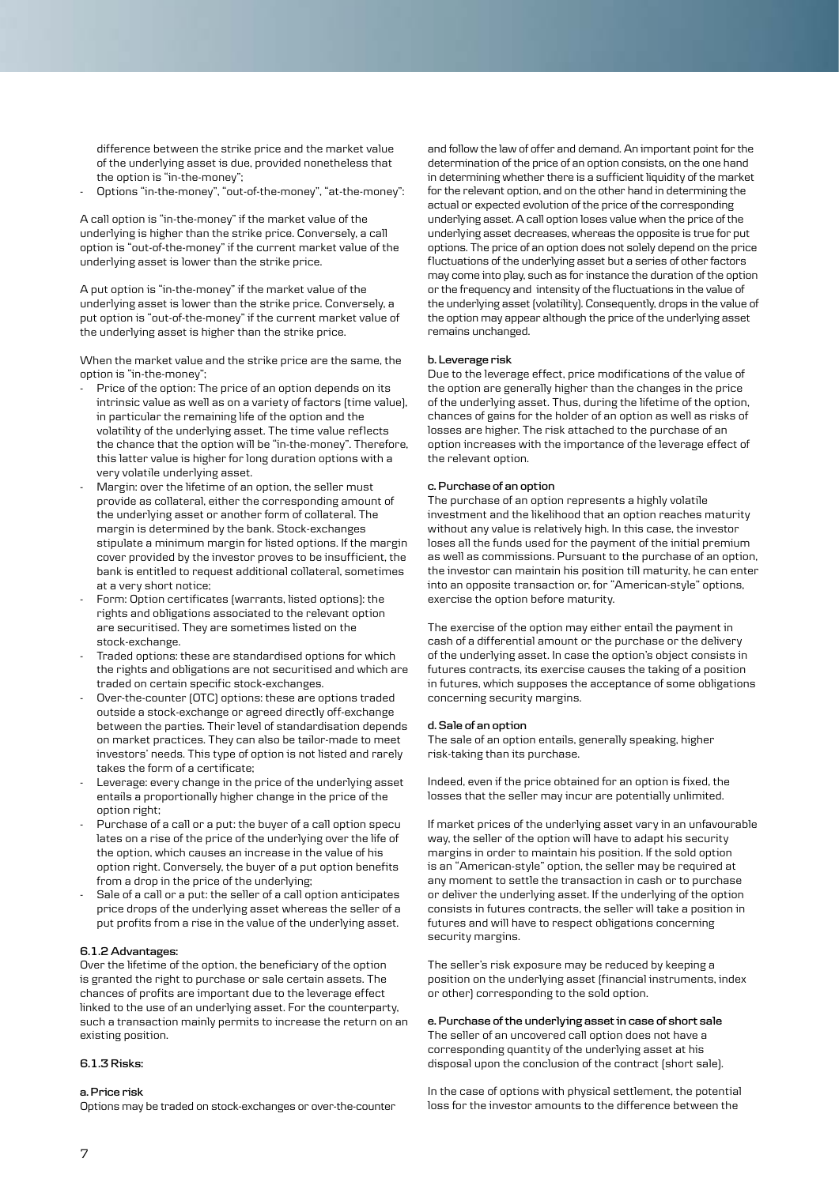difference between the strike price and the market value of the underlying asset is due, provided nonetheless that the option is "in-the-money";

- Options "in-the-money", "out-of-the-money", "at-the-money":

A call option is "in-the-money" if the market value of the underlying is higher than the strike price. Conversely, a call option is "out-of-the-money" if the current market value of the underlying asset is lower than the strike price.

A put option is "in-the-money" if the market value of the underlying asset is lower than the strike price. Conversely, a put option is "out-of-the-money" if the current market value of the underlying asset is higher than the strike price.

When the market value and the strike price are the same, the option is "in-the-money";

- Price of the option: The price of an option depends on its intrinsic value as well as on a variety of factors (time value), in particular the remaining life of the option and the volatility of the underlying asset. The time value reflects the chance that the option will be "in-the-money". Therefore, this latter value is higher for long duration options with a very volatile underlying asset.
- Margin: over the lifetime of an option, the seller must provide as collateral, either the corresponding amount of the underlying asset or another form of collateral. The margin is determined by the bank. Stock-exchanges stipulate a minimum margin for listed options. If the margin cover provided by the investor proves to be insufficient, the bank is entitled to request additional collateral, sometimes at a very short notice;
- Form: Option certificates (warrants, listed options): the rights and obligations associated to the relevant option are securitised. They are sometimes listed on the stock-exchange.
- Traded options: these are standardised options for which the rights and obligations are not securitised and which are traded on certain specific stock-exchanges.
- Over-the-counter (OTC) options: these are options traded outside a stock-exchange or agreed directly off-exchange between the parties. Their level of standardisation depends on market practices. They can also be tailor-made to meet investors' needs. This type of option is not listed and rarely takes the form of a certificate;
- Leverage: every change in the price of the underlying asset entails a proportionally higher change in the price of the option right;
- Purchase of a call or a put: the buyer of a call option specu lates on a rise of the price of the underlying over the life of the option, which causes an increase in the value of his option right. Conversely, the buyer of a put option benefits from a drop in the price of the underlying;
- Sale of a call or a put: the seller of a call option anticipates price drops of the underlying asset whereas the seller of a put profits from a rise in the value of the underlying asset.

### **6.1.2 Advantages:**

Over the lifetime of the option, the beneficiary of the option is granted the right to purchase or sale certain assets. The chances of profits are important due to the leverage effect linked to the use of an underlying asset. For the counterparty, such a transaction mainly permits to increase the return on an existing position.

#### **6.1.3 Risks:**

#### **a. Price risk**

Options may be traded on stock-exchanges or over-the-counter

and follow the law of offer and demand. An important point for the determination of the price of an option consists, on the one hand in determining whether there is a sufficient liquidity of the market for the relevant option, and on the other hand in determining the actual or expected evolution of the price of the corresponding underlying asset. A call option loses value when the price of the underlying asset decreases, whereas the opposite is true for put options. The price of an option does not solely depend on the price fluctuations of the underlying asset but a series of other factors may come into play, such as for instance the duration of the option or the frequency and intensity of the fluctuations in the value of the underlying asset (volatility). Consequently, drops in the value of the option may appear although the price of the underlying asset remains unchanged.

## **b. Leverage risk**

Due to the leverage effect, price modifications of the value of the option are generally higher than the changes in the price of the underlying asset. Thus, during the lifetime of the option, chances of gains for the holder of an option as well as risks of losses are higher. The risk attached to the purchase of an option increases with the importance of the leverage effect of the relevant option.

## **c. Purchase of an option**

The purchase of an option represents a highly volatile investment and the likelihood that an option reaches maturity without any value is relatively high. In this case, the investor loses all the funds used for the payment of the initial premium as well as commissions. Pursuant to the purchase of an option, the investor can maintain his position till maturity, he can enter into an opposite transaction or, for "American-style" options, exercise the option before maturity.

The exercise of the option may either entail the payment in cash of a differential amount or the purchase or the delivery of the underlying asset. In case the option's object consists in futures contracts, its exercise causes the taking of a position in futures, which supposes the acceptance of some obligations concerning security margins.

#### **d. Sale of an option**

The sale of an option entails, generally speaking, higher risk-taking than its purchase.

Indeed, even if the price obtained for an option is fixed, the losses that the seller may incur are potentially unlimited.

If market prices of the underlying asset vary in an unfavourable way, the seller of the option will have to adapt his security margins in order to maintain his position. If the sold option is an "American-style" option, the seller may be required at any moment to settle the transaction in cash or to purchase or deliver the underlying asset. If the underlying of the option consists in futures contracts, the seller will take a position in futures and will have to respect obligations concerning security margins.

The seller's risk exposure may be reduced by keeping a position on the underlying asset (financial instruments, index or other) corresponding to the sold option.

## **e. Purchase of the underlying asset in case of short sale** The seller of an uncovered call option does not have a corresponding quantity of the underlying asset at his disposal upon the conclusion of the contract (short sale).

In the case of options with physical settlement, the potential loss for the investor amounts to the difference between the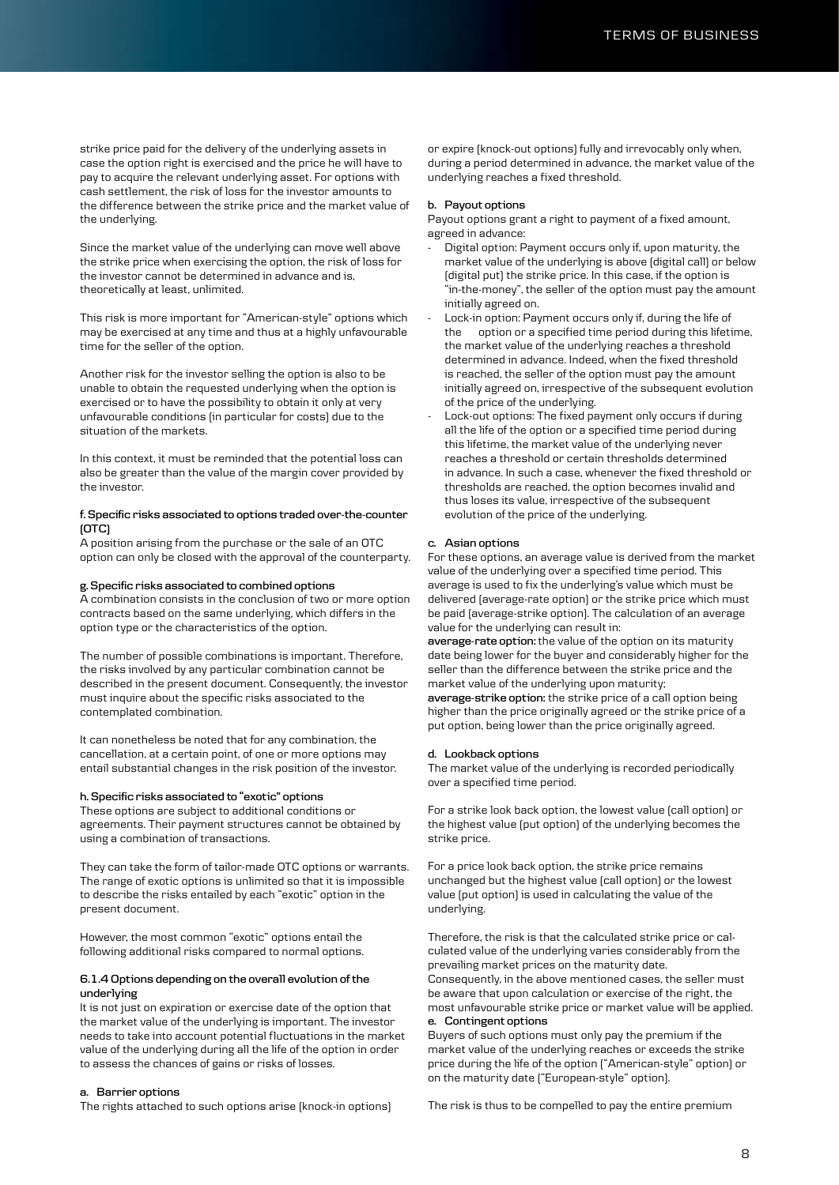strike price paid for the delivery of the underlying assets in case the option right is exercised and the price he will have to pay to acquire the relevant underlying asset. For options with cash settlement, the risk of loss for the investor amounts to the difference between the strike price and the market value of the underlying.

Since the market value of the underlying can move well above the strike price when exercising the option, the risk of loss for the investor cannot be determined in advance and is, theoretically at least, unlimited.

This risk is more important for "American-style" options which may be exercised at any time and thus at a highly unfavourable time for the seller of the option.

Another risk for the investor selling the option is also to be unable to obtain the requested underlying when the option is exercised or to have the possibility to obtain it only at very unfavourable conditions (in particular for costs) due to the situation of the markets.

In this context, it must be reminded that the potential loss can also be greater than the value of the margin cover provided by the investor.

## **f. Specific risks associated to options traded over-the-counter (OTC)**

A position arising from the purchase or the sale of an OTC option can only be closed with the approval of the counterparty.

## **g. Specific risks associated to combined options**

A combination consists in the conclusion of two or more option contracts based on the same underlying, which differs in the option type or the characteristics of the option.

The number of possible combinations is important. Therefore, the risks involved by any particular combination cannot be described in the present document. Consequently, the investor must inquire about the specific risks associated to the contemplated combination.

It can nonetheless be noted that for any combination, the cancellation, at a certain point, of one or more options may entail substantial changes in the risk position of the investor.

#### **h. Specific risks associated to "exotic" options**

These options are subject to additional conditions or agreements. Their payment structures cannot be obtained by using a combination of transactions.

They can take the form of tailor-made OTC options or warrants. The range of exotic options is unlimited so that it is impossible to describe the risks entailed by each "exotic" option in the present document.

However, the most common "exotic" options entail the following additional risks compared to normal options.

## **6.1.4 Options depending on the overall evolution of the underlying**

It is not just on expiration or exercise date of the option that the market value of the underlying is important. The investor needs to take into account potential fluctuations in the market value of the underlying during all the life of the option in order to assess the chances of gains or risks of losses.

#### **a. Barrier options**

The rights attached to such options arise (knock-in options)

or expire (knock-out options) fully and irrevocably only when, during a period determined in advance, the market value of the underlying reaches a fixed threshold.

## **b. Payout options**

Payout options grant a right to payment of a fixed amount, agreed in advance:

- Digital option: Payment occurs only if, upon maturity, the market value of the underlying is above (digital call) or below (digital put) the strike price. In this case, if the option is "in-the-money", the seller of the option must pay the amount initially agreed on.
- Lock-in option: Payment occurs only if, during the life of the option or a specified time period during this lifetime, the market value of the underlying reaches a threshold determined in advance. Indeed, when the fixed threshold is reached, the seller of the option must pay the amount initially agreed on, irrespective of the subsequent evolution of the price of the underlying.
- Lock-out options: The fixed payment only occurs if during all the life of the option or a specified time period during this lifetime, the market value of the underlying never reaches a threshold or certain thresholds determined in advance. In such a case, whenever the fixed threshold or thresholds are reached, the option becomes invalid and thus loses its value, irrespective of the subsequent evolution of the price of the underlying.

#### **c. Asian options**

For these options, an average value is derived from the market value of the underlying over a specified time period. This average is used to fix the underlying's value which must be delivered (average-rate option) or the strike price which must be paid (average-strike option). The calculation of an average value for the underlying can result in:

**average-rate option:** the value of the option on its maturity date being lower for the buyer and considerably higher for the seller than the difference between the strike price and the market value of the underlying upon maturity; **average-strike option:** the strike price of a call option being higher than the price originally agreed or the strike price of a put option, being lower than the price originally agreed.

#### **d. Lookback options**

The market value of the underlying is recorded periodically over a specified time period.

For a strike look back option, the lowest value (call option) or the highest value (put option) of the underlying becomes the strike price.

For a price look back option, the strike price remains unchanged but the highest value (call option) or the lowest value (put option) is used in calculating the value of the underlying.

Therefore, the risk is that the calculated strike price or calculated value of the underlying varies considerably from the prevailing market prices on the maturity date. Consequently, in the above mentioned cases, the seller must be aware that upon calculation or exercise of the right, the most unfavourable strike price or market value will be applied. **e. Contingent options**

Buyers of such options must only pay the premium if the market value of the underlying reaches or exceeds the strike price during the life of the option ("American-style" option) or on the maturity date ("European-style" option).

The risk is thus to be compelled to pay the entire premium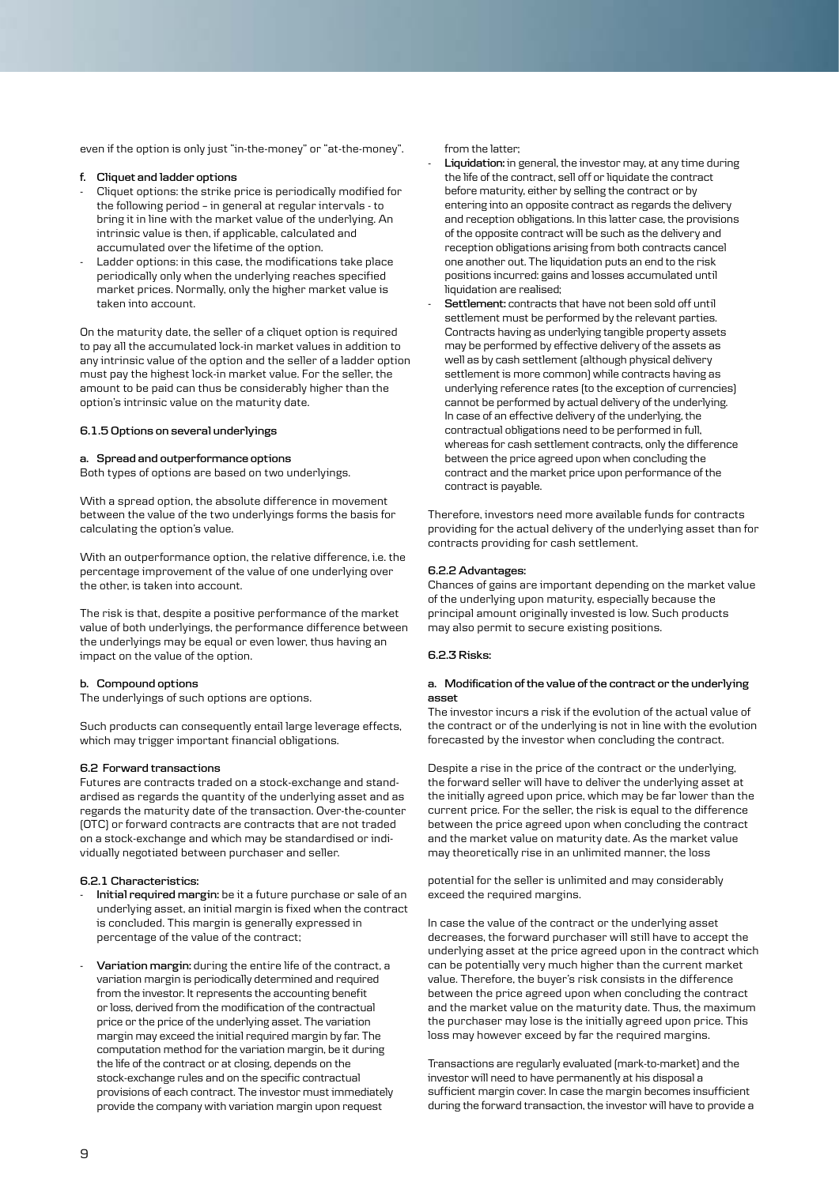even if the option is only just "in-the-money" or "at-the-money".

# **f. Cliquet and ladder options**

- Cliquet options: the strike price is periodically modified for the following period – in general at regular intervals - to bring it in line with the market value of the underlying. An intrinsic value is then, if applicable, calculated and accumulated over the lifetime of the option.
- Ladder options: in this case, the modifications take place periodically only when the underlying reaches specified market prices. Normally, only the higher market value is taken into account.

On the maturity date, the seller of a cliquet option is required to pay all the accumulated lock-in market values in addition to any intrinsic value of the option and the seller of a ladder option must pay the highest lock-in market value. For the seller, the amount to be paid can thus be considerably higher than the option's intrinsic value on the maturity date.

### **6.1.5 Options on several underlyings**

# **a. Spread and outperformance options**

Both types of options are based on two underlyings.

With a spread option, the absolute difference in movement between the value of the two underlyings forms the basis for calculating the option's value.

With an outperformance option, the relative difference, i.e. the percentage improvement of the value of one underlying over the other, is taken into account.

The risk is that, despite a positive performance of the market value of both underlyings, the performance difference between the underlyings may be equal or even lower, thus having an impact on the value of the option.

## **b. Compound options**

The underlyings of such options are options.

Such products can consequently entail large leverage effects, which may trigger important financial obligations.

# **6.2 Forward transactions**

Futures are contracts traded on a stock-exchange and standardised as regards the quantity of the underlying asset and as regards the maturity date of the transaction. Over-the-counter (OTC) or forward contracts are contracts that are not traded on a stock-exchange and which may be standardised or individually negotiated between purchaser and seller.

## **6.2.1 Characteristics:**

- **Initial required margin:** be it a future purchase or sale of an underlying asset, an initial margin is fixed when the contract is concluded. This margin is generally expressed in percentage of the value of the contract;
- **Variation margin:** during the entire life of the contract, a variation margin is periodically determined and required from the investor. It represents the accounting benefit or loss, derived from the modification of the contractual price or the price of the underlying asset. The variation margin may exceed the initial required margin by far. The computation method for the variation margin, be it during the life of the contract or at closing, depends on the stock-exchange rules and on the specific contractual provisions of each contract. The investor must immediately provide the company with variation margin upon request

from the latter;

- **Liquidation:** in general, the investor may, at any time during the life of the contract, sell off or liquidate the contract before maturity, either by selling the contract or by entering into an opposite contract as regards the delivery and reception obligations. In this latter case, the provisions of the opposite contract will be such as the delivery and reception obligations arising from both contracts cancel one another out. The liquidation puts an end to the risk positions incurred: gains and losses accumulated until liquidation are realised;
- Settlement: contracts that have not been sold off until settlement must be performed by the relevant parties. Contracts having as underlying tangible property assets may be performed by effective delivery of the assets as well as by cash settlement (although physical delivery settlement is more common) while contracts having as underlying reference rates (to the exception of currencies) cannot be performed by actual delivery of the underlying. In case of an effective delivery of the underlying, the contractual obligations need to be performed in full, whereas for cash settlement contracts, only the difference between the price agreed upon when concluding the contract and the market price upon performance of the contract is payable.

Therefore, investors need more available funds for contracts providing for the actual delivery of the underlying asset than for contracts providing for cash settlement.

#### **6.2.2 Advantages:**

Chances of gains are important depending on the market value of the underlying upon maturity, especially because the principal amount originally invested is low. Such products may also permit to secure existing positions.

# **6.2.3 Risks:**

# **a. Modification of the value of the contract or the underlying asset**

The investor incurs a risk if the evolution of the actual value of the contract or of the underlying is not in line with the evolution forecasted by the investor when concluding the contract.

Despite a rise in the price of the contract or the underlying, the forward seller will have to deliver the underlying asset at the initially agreed upon price, which may be far lower than the current price. For the seller, the risk is equal to the difference between the price agreed upon when concluding the contract and the market value on maturity date. As the market value may theoretically rise in an unlimited manner, the loss

potential for the seller is unlimited and may considerably exceed the required margins.

In case the value of the contract or the underlying asset decreases, the forward purchaser will still have to accept the underlying asset at the price agreed upon in the contract which can be potentially very much higher than the current market value. Therefore, the buyer's risk consists in the difference between the price agreed upon when concluding the contract and the market value on the maturity date. Thus, the maximum the purchaser may lose is the initially agreed upon price. This loss may however exceed by far the required margins.

Transactions are regularly evaluated (mark-to-market) and the investor will need to have permanently at his disposal a sufficient margin cover. In case the margin becomes insufficient during the forward transaction, the investor will have to provide a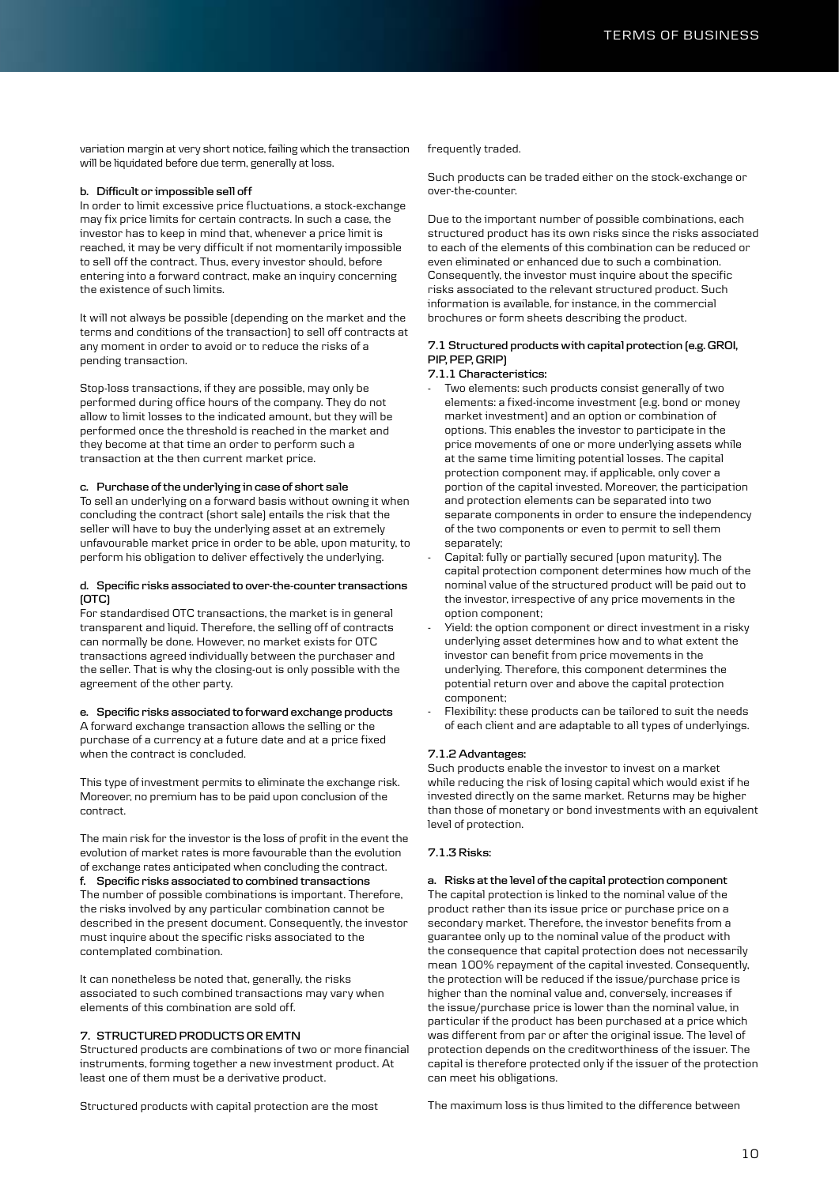variation margin at very short notice, failing which the transaction will be liquidated before due term, generally at loss.

## **b. Difficult or impossible sell off**

In order to limit excessive price fluctuations, a stock-exchange may fix price limits for certain contracts. In such a case, the investor has to keep in mind that, whenever a price limit is reached, it may be very difficult if not momentarily impossible to sell off the contract. Thus, every investor should, before entering into a forward contract, make an inquiry concerning the existence of such limits.

It will not always be possible (depending on the market and the terms and conditions of the transaction) to sell off contracts at any moment in order to avoid or to reduce the risks of a pending transaction.

Stop-loss transactions, if they are possible, may only be performed during office hours of the company. They do not allow to limit losses to the indicated amount, but they will be performed once the threshold is reached in the market and they become at that time an order to perform such a transaction at the then current market price.

# **c. Purchase of the underlying in case of short sale**

To sell an underlying on a forward basis without owning it when concluding the contract (short sale) entails the risk that the seller will have to buy the underlying asset at an extremely unfavourable market price in order to be able, upon maturity, to perform his obligation to deliver effectively the underlying.

## **d. Specific risks associated to over-the-counter transactions (OTC)**

For standardised OTC transactions, the market is in general transparent and liquid. Therefore, the selling off of contracts can normally be done. However, no market exists for OTC transactions agreed individually between the purchaser and the seller. That is why the closing-out is only possible with the agreement of the other party.

# **e. Specific risks associated to forward exchange products**

A forward exchange transaction allows the selling or the purchase of a currency at a future date and at a price fixed when the contract is concluded.

This type of investment permits to eliminate the exchange risk. Moreover, no premium has to be paid upon conclusion of the contract.

The main risk for the investor is the loss of profit in the event the evolution of market rates is more favourable than the evolution of exchange rates anticipated when concluding the contract. **f. Specific risks associated to combined transactions** The number of possible combinations is important. Therefore, the risks involved by any particular combination cannot be described in the present document. Consequently, the investor must inquire about the specific risks associated to the contemplated combination.

It can nonetheless be noted that, generally, the risks associated to such combined transactions may vary when elements of this combination are sold off.

# **7. STRUCTURED PRODUCTS OR EMTN**

Structured products are combinations of two or more financial instruments, forming together a new investment product. At least one of them must be a derivative product.

Structured products with capital protection are the most

frequently traded.

Such products can be traded either on the stock-exchange or over-the-counter.

Due to the important number of possible combinations, each structured product has its own risks since the risks associated to each of the elements of this combination can be reduced or even eliminated or enhanced due to such a combination. Consequently, the investor must inquire about the specific risks associated to the relevant structured product. Such information is available, for instance, in the commercial brochures or form sheets describing the product.

## **7.1 Structured products with capital protection (e.g. GROI, PIP, PEP, GRIP)**

### **7.1.1 Characteristics:**

- Two elements: such products consist generally of two elements: a fixed-income investment (e.g. bond or money market investment) and an option or combination of options. This enables the investor to participate in the price movements of one or more underlying assets while at the same time limiting potential losses. The capital protection component may, if applicable, only cover a portion of the capital invested. Moreover, the participation and protection elements can be separated into two separate components in order to ensure the independency of the two components or even to permit to sell them separately;
- Capital: fully or partially secured (upon maturity). The capital protection component determines how much of the nominal value of the structured product will be paid out to the investor, irrespective of any price movements in the option component;
- Yield: the option component or direct investment in a risky underlying asset determines how and to what extent the investor can benefit from price movements in the underlying. Therefore, this component determines the potential return over and above the capital protection component;
- Flexibility: these products can be tailored to suit the needs of each client and are adaptable to all types of underlyings.

#### **7.1.2 Advantages:**

Such products enable the investor to invest on a market while reducing the risk of losing capital which would exist if he invested directly on the same market. Returns may be higher than those of monetary or bond investments with an equivalent level of protection.

## **7.1.3 Risks:**

**a. Risks at the level of the capital protection component** The capital protection is linked to the nominal value of the product rather than its issue price or purchase price on a secondary market. Therefore, the investor benefits from a guarantee only up to the nominal value of the product with the consequence that capital protection does not necessarily mean 100% repayment of the capital invested. Consequently, the protection will be reduced if the issue/purchase price is higher than the nominal value and, conversely, increases if the issue/purchase price is lower than the nominal value, in particular if the product has been purchased at a price which was different from par or after the original issue. The level of protection depends on the creditworthiness of the issuer. The capital is therefore protected only if the issuer of the protection can meet his obligations.

The maximum loss is thus limited to the difference between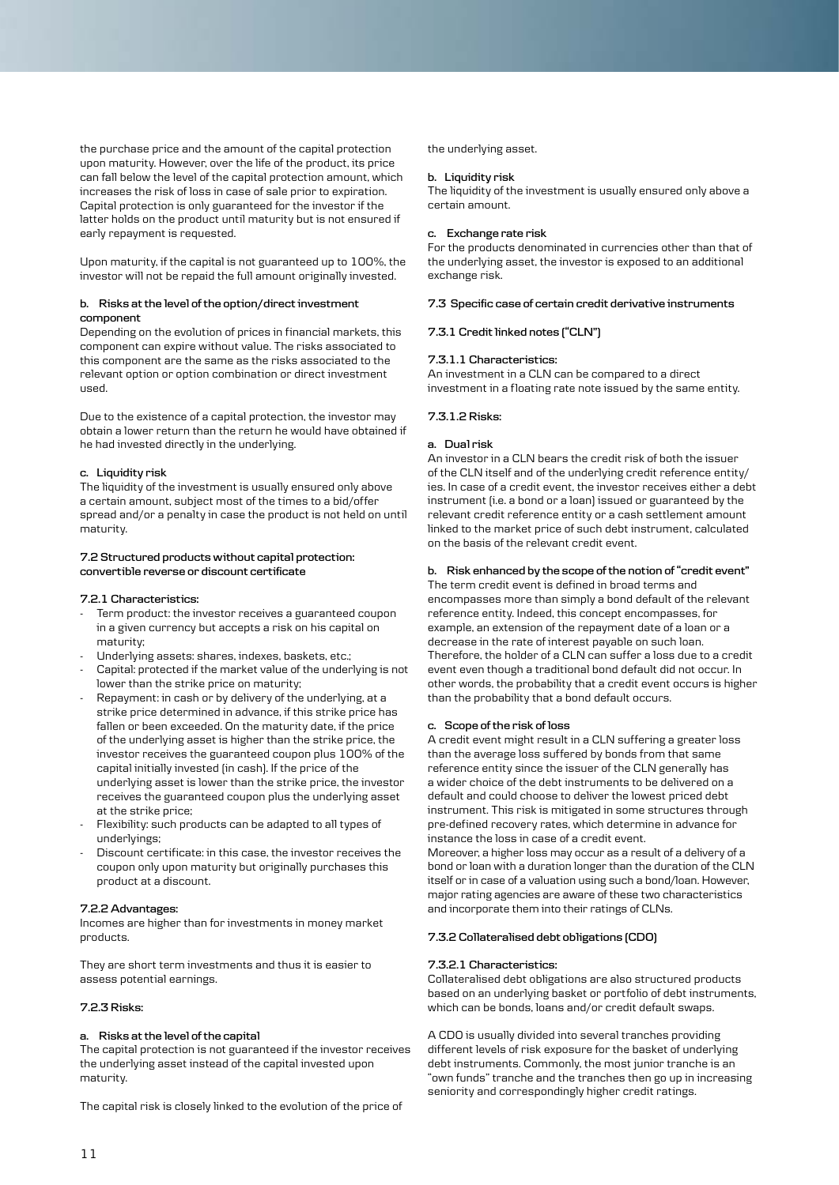the purchase price and the amount of the capital protection upon maturity. However, over the life of the product, its price can fall below the level of the capital protection amount, which increases the risk of loss in case of sale prior to expiration. Capital protection is only guaranteed for the investor if the latter holds on the product until maturity but is not ensured if early repayment is requested.

Upon maturity, if the capital is not guaranteed up to 100%, the investor will not be repaid the full amount originally invested.

## **b. Risks at the level of the option/direct investment component**

Depending on the evolution of prices in financial markets, this component can expire without value. The risks associated to this component are the same as the risks associated to the relevant option or option combination or direct investment used.

Due to the existence of a capital protection, the investor may obtain a lower return than the return he would have obtained if he had invested directly in the underlying.

# **c. Liquidity risk**

The liquidity of the investment is usually ensured only above a certain amount, subject most of the times to a bid/offer spread and/or a penalty in case the product is not held on until maturity.

## **7.2 Structured products without capital protection: convertible reverse or discount certificate**

## **7.2.1 Characteristics:**

- Term product: the investor receives a guaranteed coupon in a given currency but accepts a risk on his capital on maturity;
- Underlying assets: shares, indexes, baskets, etc.;
- Capital: protected if the market value of the underlying is not lower than the strike price on maturity;
- Repayment: in cash or by delivery of the underlying, at a strike price determined in advance, if this strike price has fallen or been exceeded. On the maturity date, if the price of the underlying asset is higher than the strike price, the investor receives the guaranteed coupon plus 100% of the capital initially invested (in cash). If the price of the underlying asset is lower than the strike price, the investor receives the guaranteed coupon plus the underlying asset at the strike price;
- Flexibility: such products can be adapted to all types of underlyings;
- Discount certificate: in this case, the investor receives the coupon only upon maturity but originally purchases this product at a discount.

## **7.2.2 Advantages:**

Incomes are higher than for investments in money market products.

They are short term investments and thus it is easier to assess potential earnings.

# **7.2.3 Risks:**

## **a. Risks at the level of the capital**

The capital protection is not guaranteed if the investor receives the underlying asset instead of the capital invested upon maturity.

The capital risk is closely linked to the evolution of the price of

the underlying asset.

# **b. Liquidity risk**

The liquidity of the investment is usually ensured only above a certain amount.

### **c. Exchange rate risk**

For the products denominated in currencies other than that of the underlying asset, the investor is exposed to an additional exchange risk.

## **7.3 Specific case of certain credit derivative instruments**

# **7.3.1 Credit linked notes ("CLN")**

## **7.3.1.1 Characteristics:**

An investment in a CLN can be compared to a direct investment in a floating rate note issued by the same entity.

### **7.3.1.2 Risks:**

## **a. Dual risk**

An investor in a CLN bears the credit risk of both the issuer of the CLN itself and of the underlying credit reference entity/ ies. In case of a credit event, the investor receives either a debt instrument (i.e. a bond or a loan) issued or guaranteed by the relevant credit reference entity or a cash settlement amount linked to the market price of such debt instrument, calculated on the basis of the relevant credit event.

# **b. Risk enhanced by the scope of the notion of "credit event"**

The term credit event is defined in broad terms and encompasses more than simply a bond default of the relevant reference entity. Indeed, this concept encompasses, for example, an extension of the repayment date of a loan or a decrease in the rate of interest payable on such loan. Therefore, the holder of a CLN can suffer a loss due to a credit event even though a traditional bond default did not occur. In other words, the probability that a credit event occurs is higher than the probability that a bond default occurs.

## **c. Scope of the risk of loss**

A credit event might result in a CLN suffering a greater loss than the average loss suffered by bonds from that same reference entity since the issuer of the CLN generally has a wider choice of the debt instruments to be delivered on a default and could choose to deliver the lowest priced debt instrument. This risk is mitigated in some structures through pre-defined recovery rates, which determine in advance for instance the loss in case of a credit event.

Moreover, a higher loss may occur as a result of a delivery of a bond or loan with a duration longer than the duration of the CLN itself or in case of a valuation using such a bond/loan. However, major rating agencies are aware of these two characteristics and incorporate them into their ratings of CLNs.

# **7.3.2 Collateralised debt obligations (CDO)**

## **7.3.2.1 Characteristics:**

Collateralised debt obligations are also structured products based on an underlying basket or portfolio of debt instruments, which can be bonds, loans and/or credit default swaps.

A CDO is usually divided into several tranches providing different levels of risk exposure for the basket of underlying debt instruments. Commonly, the most junior tranche is an "own funds" tranche and the tranches then go up in increasing seniority and correspondingly higher credit ratings.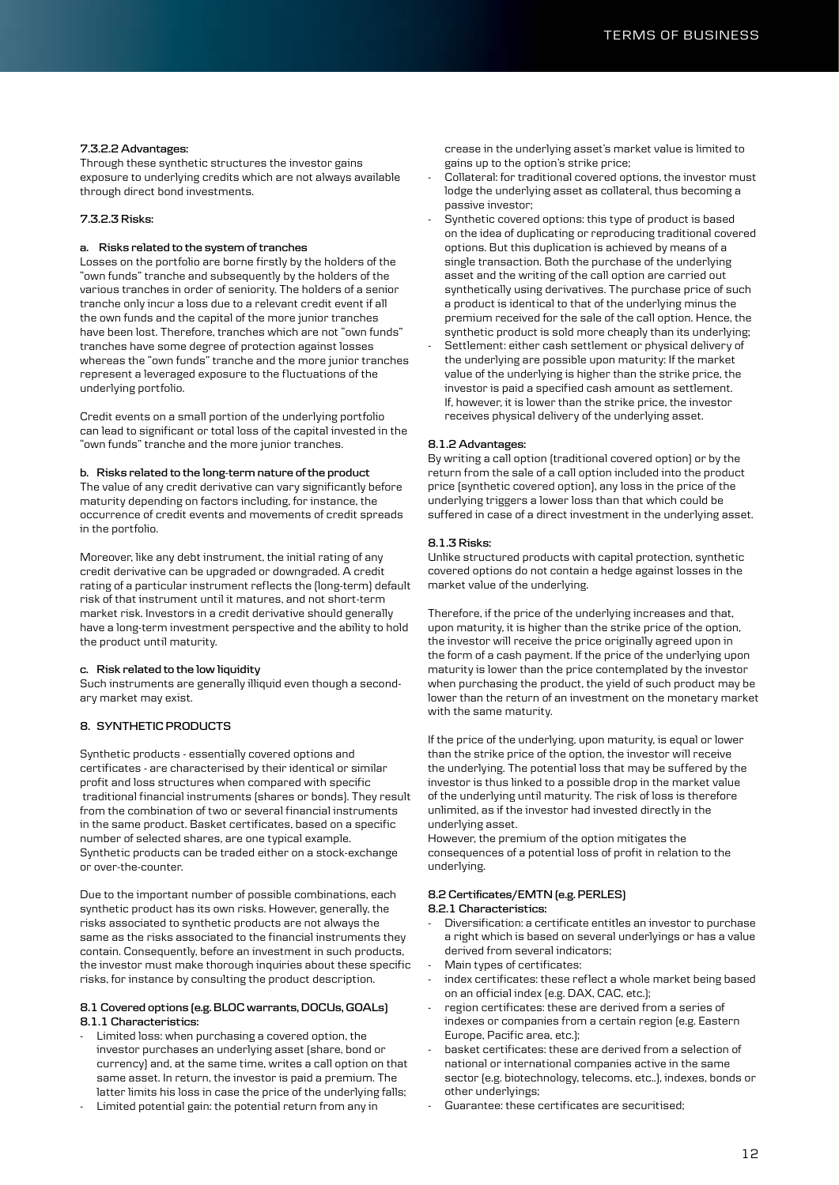## **7.3.2.2 Advantages:**

Through these synthetic structures the investor gains exposure to underlying credits which are not always available through direct bond investments.

## **7.3.2.3 Risks:**

# **a. Risks related to the system of tranches**

Losses on the portfolio are borne firstly by the holders of the "own funds" tranche and subsequently by the holders of the various tranches in order of seniority. The holders of a senior tranche only incur a loss due to a relevant credit event if all the own funds and the capital of the more junior tranches have been lost. Therefore, tranches which are not "own funds" tranches have some degree of protection against losses whereas the "own funds" tranche and the more junior tranches represent a leveraged exposure to the fluctuations of the underlying portfolio.

Credit events on a small portion of the underlying portfolio can lead to significant or total loss of the capital invested in the "own funds" tranche and the more junior tranches.

### **b. Risks related to the long-term nature of the product**

The value of any credit derivative can vary significantly before maturity depending on factors including, for instance, the occurrence of credit events and movements of credit spreads in the portfolio.

Moreover, like any debt instrument, the initial rating of any credit derivative can be upgraded or downgraded. A credit rating of a particular instrument reflects the (long-term) default risk of that instrument until it matures, and not short-term market risk. Investors in a credit derivative should generally have a long-term investment perspective and the ability to hold the product until maturity.

#### **c. Risk related to the low liquidity**

Such instruments are generally illiquid even though a secondary market may exist.

# **8. SYNTHETIC PRODUCTS**

Synthetic products - essentially covered options and certificates - are characterised by their identical or similar profit and loss structures when compared with specific traditional financial instruments (shares or bonds). They result from the combination of two or several financial instruments in the same product. Basket certificates, based on a specific number of selected shares, are one typical example. Synthetic products can be traded either on a stock-exchange or over-the-counter.

Due to the important number of possible combinations, each synthetic product has its own risks. However, generally, the risks associated to synthetic products are not always the same as the risks associated to the financial instruments they contain. Consequently, before an investment in such products, the investor must make thorough inquiries about these specific risks, for instance by consulting the product description.

# **8.1 Covered options (e.g. BLOC warrants, DOCUs, GOALs) 8.1.1 Characteristics:**

- Limited loss: when purchasing a covered option, the investor purchases an underlying asset (share, bond or currency) and, at the same time, writes a call option on that same asset. In return, the investor is paid a premium. The latter limits his loss in case the price of the underlying falls;
- Limited potential gain: the potential return from any in

crease in the underlying asset's market value is limited to gains up to the option's strike price;

- Collateral: for traditional covered options, the investor must lodge the underlying asset as collateral, thus becoming a passive investor;
- Synthetic covered options: this type of product is based on the idea of duplicating or reproducing traditional covered options. But this duplication is achieved by means of a single transaction. Both the purchase of the underlying asset and the writing of the call option are carried out synthetically using derivatives. The purchase price of such a product is identical to that of the underlying minus the premium received for the sale of the call option. Hence, the synthetic product is sold more cheaply than its underlying;
- Settlement: either cash settlement or physical delivery of the underlying are possible upon maturity: If the market value of the underlying is higher than the strike price, the investor is paid a specified cash amount as settlement. If, however, it is lower than the strike price, the investor receives physical delivery of the underlying asset.

#### **8.1.2 Advantages:**

By writing a call option (traditional covered option) or by the return from the sale of a call option included into the product price (synthetic covered option), any loss in the price of the underlying triggers a lower loss than that which could be suffered in case of a direct investment in the underlying asset.

# **8.1.3 Risks:**

Unlike structured products with capital protection, synthetic covered options do not contain a hedge against losses in the market value of the underlying.

Therefore, if the price of the underlying increases and that, upon maturity, it is higher than the strike price of the option, the investor will receive the price originally agreed upon in the form of a cash payment. If the price of the underlying upon maturity is lower than the price contemplated by the investor when purchasing the product, the yield of such product may be lower than the return of an investment on the monetary market with the same maturity.

If the price of the underlying, upon maturity, is equal or lower than the strike price of the option, the investor will receive the underlying. The potential loss that may be suffered by the investor is thus linked to a possible drop in the market value of the underlying until maturity. The risk of loss is therefore unlimited, as if the investor had invested directly in the underlying asset.

However, the premium of the option mitigates the consequences of a potential loss of profit in relation to the underlying.

#### **8.2 Certificates/EMTN (e.g. PERLES) 8.2.1 Characteristics:**

- Diversification: a certificate entitles an investor to purchase a right which is based on several underlyings or has a value derived from several indicators;
- Main types of certificates:
- index certificates: these reflect a whole market being based on an official index (e.g. DAX, CAC, etc.);
- region certificates: these are derived from a series of indexes or companies from a certain region (e.g. Eastern Europe, Pacific area, etc.);
- basket certificates: these are derived from a selection of national or international companies active in the same sector (e.g. biotechnology, telecoms, etc..), indexes, bonds or other underlyings;
- Guarantee: these certificates are securitised;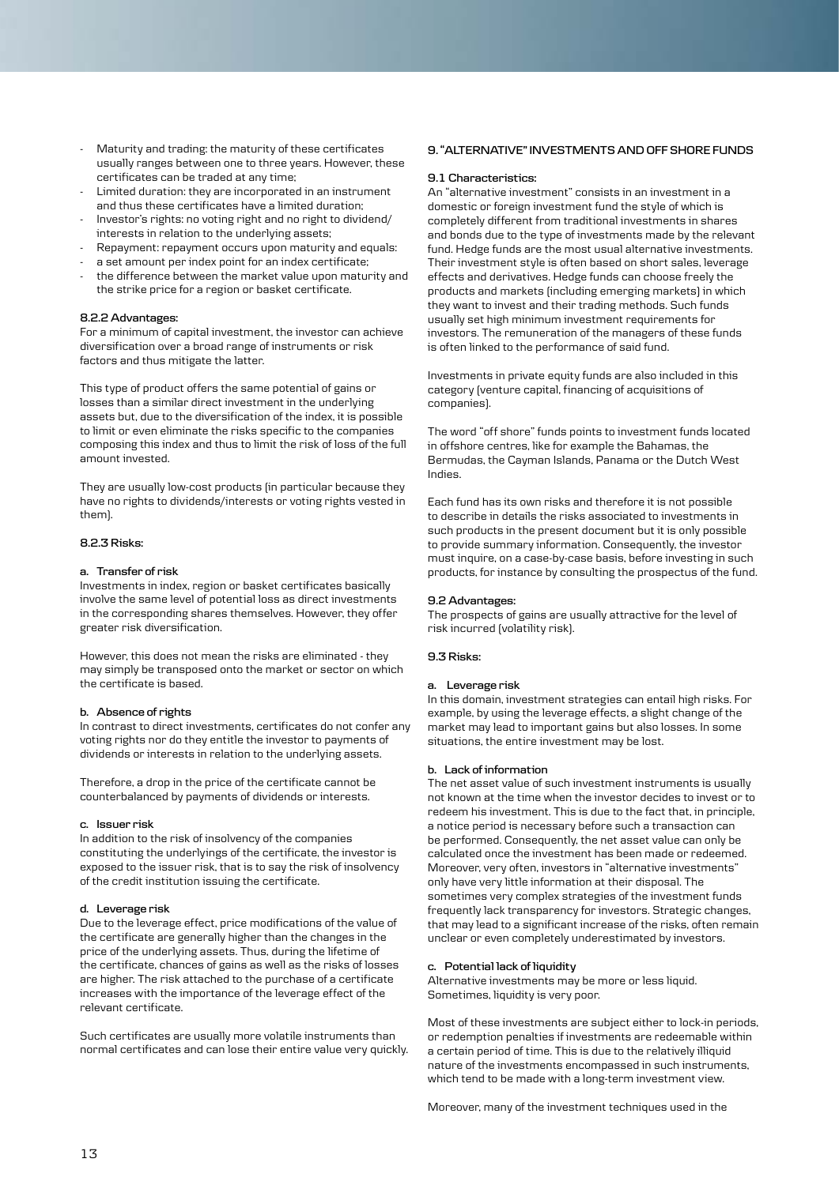- Maturity and trading: the maturity of these certificates usually ranges between one to three years. However, these certificates can be traded at any time;
- Limited duration: they are incorporated in an instrument and thus these certificates have a limited duration;
- Investor's rights: no voting right and no right to dividend/ interests in relation to the underlying assets;
- Repayment: repayment occurs upon maturity and equals:
- a set amount per index point for an index certificate;
- the difference between the market value upon maturity and the strike price for a region or basket certificate.

## **8.2.2 Advantages:**

For a minimum of capital investment, the investor can achieve diversification over a broad range of instruments or risk factors and thus mitigate the latter.

This type of product offers the same potential of gains or losses than a similar direct investment in the underlying assets but, due to the diversification of the index, it is possible to limit or even eliminate the risks specific to the companies composing this index and thus to limit the risk of loss of the full amount invested.

They are usually low-cost products (in particular because they have no rights to dividends/interests or voting rights vested in them).

# **8.2.3 Risks:**

### **a. Transfer of risk**

Investments in index, region or basket certificates basically involve the same level of potential loss as direct investments in the corresponding shares themselves. However, they offer greater risk diversification.

However, this does not mean the risks are eliminated - they may simply be transposed onto the market or sector on which the certificate is based.

## **b. Absence of rights**

In contrast to direct investments, certificates do not confer any voting rights nor do they entitle the investor to payments of dividends or interests in relation to the underlying assets.

Therefore, a drop in the price of the certificate cannot be counterbalanced by payments of dividends or interests.

#### **c. Issuer risk**

In addition to the risk of insolvency of the companies constituting the underlyings of the certificate, the investor is exposed to the issuer risk, that is to say the risk of insolvency of the credit institution issuing the certificate.

## **d. Leverage risk**

Due to the leverage effect, price modifications of the value of the certificate are generally higher than the changes in the price of the underlying assets. Thus, during the lifetime of the certificate, chances of gains as well as the risks of losses are higher. The risk attached to the purchase of a certificate increases with the importance of the leverage effect of the relevant certificate.

Such certificates are usually more volatile instruments than normal certificates and can lose their entire value very quickly.

### **9. "ALTERNATIVE" INVESTMENTS AND OFF SHORE FUNDS**

## **9.1 Characteristics:**

An "alternative investment" consists in an investment in a domestic or foreign investment fund the style of which is completely different from traditional investments in shares and bonds due to the type of investments made by the relevant fund. Hedge funds are the most usual alternative investments. Their investment style is often based on short sales, leverage effects and derivatives. Hedge funds can choose freely the products and markets (including emerging markets) in which they want to invest and their trading methods. Such funds usually set high minimum investment requirements for investors. The remuneration of the managers of these funds is often linked to the performance of said fund.

Investments in private equity funds are also included in this category (venture capital, financing of acquisitions of companies).

The word "off shore" funds points to investment funds located in offshore centres, like for example the Bahamas, the Bermudas, the Cayman Islands, Panama or the Dutch West Indies.

Each fund has its own risks and therefore it is not possible to describe in details the risks associated to investments in such products in the present document but it is only possible to provide summary information. Consequently, the investor must inquire, on a case-by-case basis, before investing in such products, for instance by consulting the prospectus of the fund.

#### **9.2 Advantages:**

The prospects of gains are usually attractive for the level of risk incurred (volatility risk).

## **9.3 Risks:**

## **a. Leverage risk**

In this domain, investment strategies can entail high risks. For example, by using the leverage effects, a slight change of the market may lead to important gains but also losses. In some situations, the entire investment may be lost.

#### **b. Lack of information**

The net asset value of such investment instruments is usually not known at the time when the investor decides to invest or to redeem his investment. This is due to the fact that, in principle, a notice period is necessary before such a transaction can be performed. Consequently, the net asset value can only be calculated once the investment has been made or redeemed. Moreover, very often, investors in "alternative investments" only have very little information at their disposal. The sometimes very complex strategies of the investment funds frequently lack transparency for investors. Strategic changes, that may lead to a significant increase of the risks, often remain unclear or even completely underestimated by investors.

## **c. Potential lack of liquidity**

Alternative investments may be more or less liquid. Sometimes, liquidity is very poor.

Most of these investments are subject either to lock-in periods, or redemption penalties if investments are redeemable within a certain period of time. This is due to the relatively illiquid nature of the investments encompassed in such instruments, which tend to be made with a long-term investment view.

Moreover, many of the investment techniques used in the